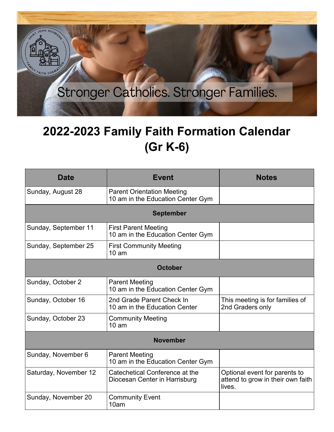

## **2022-2023 Family Faith Formation Calendar (Gr K-6)**

| <b>Date</b>           | <b>Event</b>                                                           | <b>Notes</b>                                                                 |  |
|-----------------------|------------------------------------------------------------------------|------------------------------------------------------------------------------|--|
| Sunday, August 28     | <b>Parent Orientation Meeting</b><br>10 am in the Education Center Gym |                                                                              |  |
| <b>September</b>      |                                                                        |                                                                              |  |
| Sunday, September 11  | <b>First Parent Meeting</b><br>10 am in the Education Center Gym       |                                                                              |  |
| Sunday, September 25  | <b>First Community Meeting</b><br>$10 \text{ am}$                      |                                                                              |  |
| <b>October</b>        |                                                                        |                                                                              |  |
| Sunday, October 2     | <b>Parent Meeting</b><br>10 am in the Education Center Gym             |                                                                              |  |
| Sunday, October 16    | 2nd Grade Parent Check In<br>10 am in the Education Center             | This meeting is for families of<br>2nd Graders only                          |  |
| Sunday, October 23    | <b>Community Meeting</b><br>10 <sub>am</sub>                           |                                                                              |  |
| <b>November</b>       |                                                                        |                                                                              |  |
| Sunday, November 6    | <b>Parent Meeting</b><br>10 am in the Education Center Gym             |                                                                              |  |
| Saturday, November 12 | Catechetical Conference at the<br>Diocesan Center in Harrisburg        | Optional event for parents to<br>attend to grow in their own faith<br>lives. |  |
| Sunday, November 20   | <b>Community Event</b><br>10am                                         |                                                                              |  |